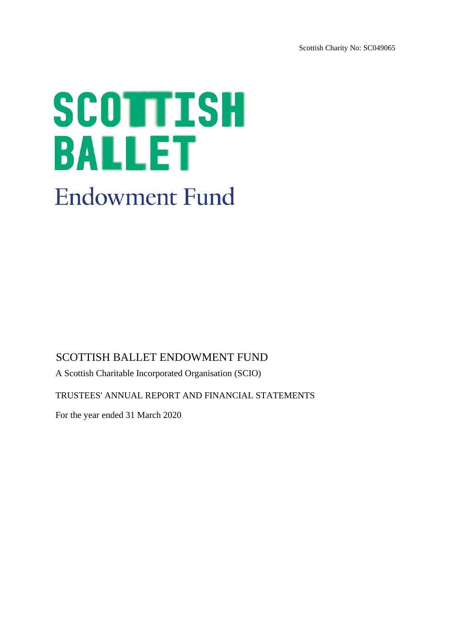Scottish Charity No: SC049065

# SCOTTISH **BALLET Endowment Fund**

# SCOTTISH BALLET ENDOWMENT FUND

A Scottish Charitable Incorporated Organisation (SCIO)

TRUSTEES' ANNUAL REPORT AND FINANCIAL STATEMENTS

For the year ended 31 March 2020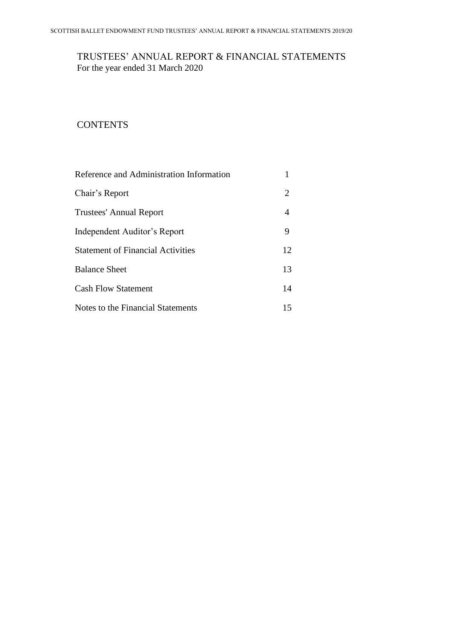# TRUSTEES' ANNUAL REPORT & FINANCIAL STATEMENTS For the year ended 31 March 2020

# **CONTENTS**

| Reference and Administration Information |    |
|------------------------------------------|----|
| Chair's Report                           | 2  |
| <b>Trustees' Annual Report</b>           | 4  |
| Independent Auditor's Report             | 9  |
| <b>Statement of Financial Activities</b> | 12 |
| <b>Balance Sheet</b>                     | 13 |
| <b>Cash Flow Statement</b>               | 14 |
| Notes to the Financial Statements        | 15 |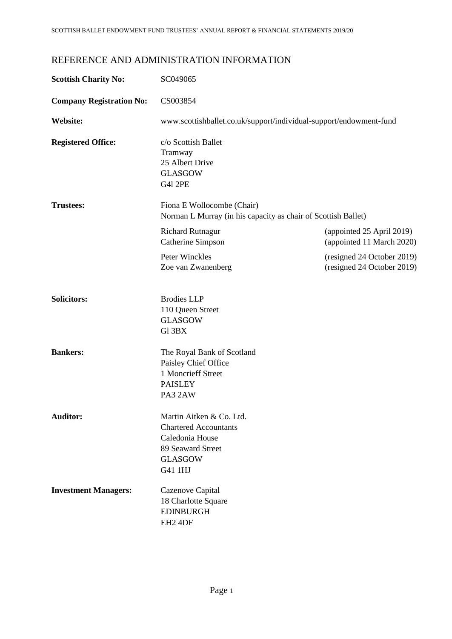# REFERENCE AND ADMINISTRATION INFORMATION

| <b>Scottish Charity No:</b>     | SC049065                                                                                                                      |                                                          |
|---------------------------------|-------------------------------------------------------------------------------------------------------------------------------|----------------------------------------------------------|
| <b>Company Registration No:</b> | CS003854                                                                                                                      |                                                          |
| Website:                        | www.scottishballet.co.uk/support/individual-support/endowment-fund                                                            |                                                          |
| <b>Registered Office:</b>       | c/o Scottish Ballet<br>Tramway<br>25 Albert Drive<br><b>GLASGOW</b><br><b>G41 2PE</b>                                         |                                                          |
| <b>Trustees:</b>                | Fiona E Wollocombe (Chair)<br>Norman L Murray (in his capacity as chair of Scottish Ballet)                                   |                                                          |
|                                 | <b>Richard Rutnagur</b><br>Catherine Simpson                                                                                  | (appointed 25 April 2019)<br>(appointed 11 March 2020)   |
|                                 | Peter Winckles<br>Zoe van Zwanenberg                                                                                          | (resigned 24 October 2019)<br>(resigned 24 October 2019) |
| <b>Solicitors:</b>              | <b>Brodies LLP</b><br>110 Queen Street<br><b>GLASGOW</b><br>Gl 3BX                                                            |                                                          |
| <b>Bankers:</b>                 | The Royal Bank of Scotland<br>Paisley Chief Office<br>1 Moncrieff Street<br><b>PAISLEY</b><br>PA3 2AW                         |                                                          |
| <b>Auditor:</b>                 | Martin Aitken & Co. Ltd.<br><b>Chartered Accountants</b><br>Caledonia House<br>89 Seaward Street<br><b>GLASGOW</b><br>G41 1HJ |                                                          |
| <b>Investment Managers:</b>     | Cazenove Capital<br>18 Charlotte Square<br><b>EDINBURGH</b><br>EH <sub>2</sub> 4DF                                            |                                                          |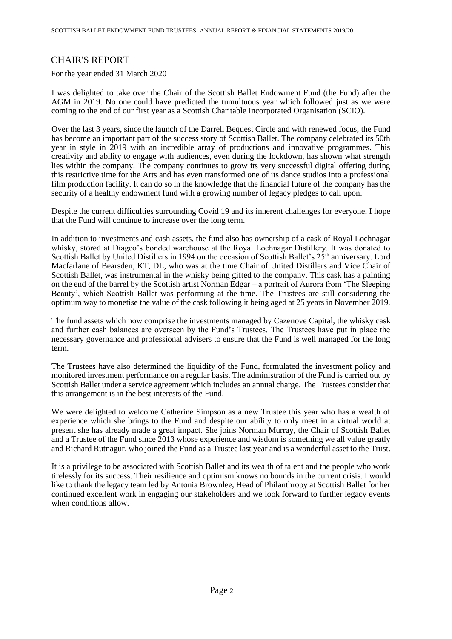# CHAIR'S REPORT

For the year ended 31 March 2020

I was delighted to take over the Chair of the Scottish Ballet Endowment Fund (the Fund) after the AGM in 2019. No one could have predicted the tumultuous year which followed just as we were coming to the end of our first year as a Scottish Charitable Incorporated Organisation (SCIO).

Over the last 3 years, since the launch of the Darrell Bequest Circle and with renewed focus, the Fund has become an important part of the success story of Scottish Ballet. The company celebrated its 50th year in style in 2019 with an incredible array of productions and innovative programmes. This creativity and ability to engage with audiences, even during the lockdown, has shown what strength lies within the company. The company continues to grow its very successful digital offering during this restrictive time for the Arts and has even transformed one of its dance studios into a professional film production facility. It can do so in the knowledge that the financial future of the company has the security of a healthy endowment fund with a growing number of legacy pledges to call upon.

Despite the current difficulties surrounding Covid 19 and its inherent challenges for everyone, I hope that the Fund will continue to increase over the long term.

In addition to investments and cash assets, the fund also has ownership of a cask of Royal Lochnagar whisky, stored at Diageo's bonded warehouse at the Royal Lochnagar Distillery. It was donated to Scottish Ballet by United Distillers in 1994 on the occasion of Scottish Ballet's 25<sup>th</sup> anniversary. Lord Macfarlane of Bearsden, KT, DL, who was at the time Chair of United Distillers and Vice Chair of Scottish Ballet, was instrumental in the whisky being gifted to the company. This cask has a painting on the end of the barrel by the Scottish artist Norman Edgar – a portrait of Aurora from 'The Sleeping Beauty', which Scottish Ballet was performing at the time. The Trustees are still considering the optimum way to monetise the value of the cask following it being aged at 25 years in November 2019.

The fund assets which now comprise the investments managed by Cazenove Capital, the whisky cask and further cash balances are overseen by the Fund's Trustees. The Trustees have put in place the necessary governance and professional advisers to ensure that the Fund is well managed for the long term.

The Trustees have also determined the liquidity of the Fund, formulated the investment policy and monitored investment performance on a regular basis. The administration of the Fund is carried out by Scottish Ballet under a service agreement which includes an annual charge. The Trustees consider that this arrangement is in the best interests of the Fund.

We were delighted to welcome Catherine Simpson as a new Trustee this year who has a wealth of experience which she brings to the Fund and despite our ability to only meet in a virtual world at present she has already made a great impact. She joins Norman Murray, the Chair of Scottish Ballet and a Trustee of the Fund since 2013 whose experience and wisdom is something we all value greatly and Richard Rutnagur, who joined the Fund as a Trustee last year and is a wonderful asset to the Trust.

It is a privilege to be associated with Scottish Ballet and its wealth of talent and the people who work tirelessly for its success. Their resilience and optimism knows no bounds in the current crisis. I would like to thank the legacy team led by Antonia Brownlee, Head of Philanthropy at Scottish Ballet for her continued excellent work in engaging our stakeholders and we look forward to further legacy events when conditions allow.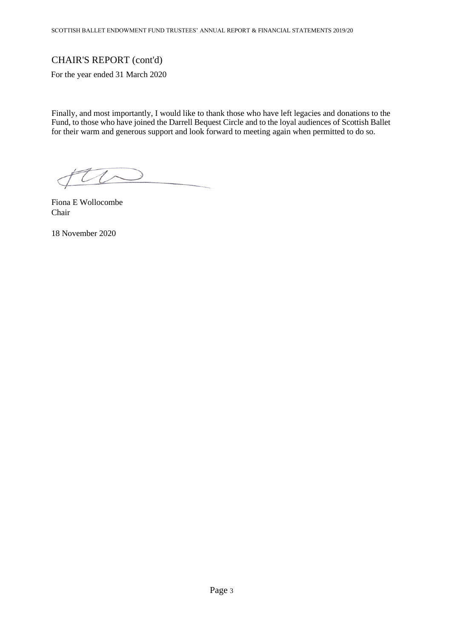# CHAIR'S REPORT (cont'd)

For the year ended 31 March 2020

Finally, and most importantly, I would like to thank those who have left legacies and donations to the Fund, to those who have joined the Darrell Bequest Circle and to the loyal audiences of Scottish Ballet for their warm and generous support and look forward to meeting again when permitted to do so.

the

Fiona E Wollocombe Chair

18 November 2020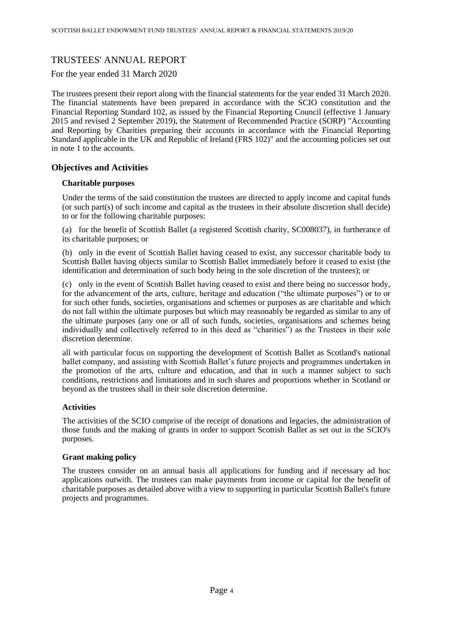# TRUSTEES' ANNUAL REPORT

For the year ended 31 March 2020

The trustees present their report along with the financial statements for the year ended 31 March 2020. The financial statements have been prepared in accordance with the SCIO constitution and the Financial Reporting Standard 102, as issued by the Financial Reporting Council (effective 1 January 2015 and revised 2 September 2019), the Statement of Recommended Practice (SORP) "Accounting and Reporting by Charities preparing their accounts in accordance with the Financial Reporting Standard applicable in the UK and Republic of Ireland (FRS 102)" and the accounting policies set out in note 1 to the accounts.

## **Objectives and Activities**

## **Charitable purposes**

Under the terms of the said constitution the trustees are directed to apply income and capital funds (or such part(s) of such income and capital as the trustees in their absolute discretion shall decide) to or for the following charitable purposes:

(a) for the benefit of Scottish Ballet (a registered Scottish charity, SC008037), in furtherance of its charitable purposes; or

(b) only in the event of Scottish Ballet having ceased to exist, any successor charitable body to Scottish Ballet having objects similar to Scottish Ballet immediately before it ceased to exist (the identification and determination of such body being in the sole discretion of the trustees); or

(c) only in the event of Scottish Ballet having ceased to exist and there being no successor body, for the advancement of the arts, culture, heritage and education ("the ultimate purposes") or to or for such other funds, societies, organisations and schemes or purposes as are charitable and which do not fall within the ultimate purposes but which may reasonably be regarded as similar to any of the ultimate purposes (any one or all of such funds, societies, organisations and schemes being individually and collectively referred to in this deed as "charities") as the Trustees in their sole discretion determine.

all with particular focus on supporting the development of Scottish Ballet as Scotland's national ballet company, and assisting with Scottish Ballet's future projects and programmes undertaken in the promotion of the arts, culture and education, and that in such a manner subject to such conditions, restrictions and limitations and in such shares and proportions whether in Scotland or beyond as the trustees shall in their sole discretion determine.

## **Activities**

The activities of the SCIO comprise of the receipt of donations and legacies, the administration of those funds and the making of grants in order to support Scottish Ballet as set out in the SCIO's purposes.

## **Grant making policy**

The trustees consider on an annual basis all applications for funding and if necessary ad hoc applications outwith. The trustees can make payments from income or capital for the benefit of charitable purposes as detailed above with a view to supporting in particular Scottish Ballet's future projects and programmes.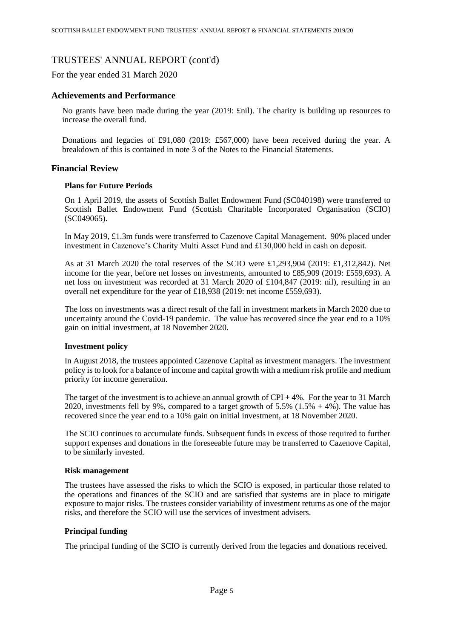For the year ended 31 March 2020

## **Achievements and Performance**

No grants have been made during the year (2019: £nil). The charity is building up resources to increase the overall fund.

Donations and legacies of £91,080 (2019: £567,000) have been received during the year. A breakdown of this is contained in note 3 of the Notes to the Financial Statements.

## **Financial Review**

#### **Plans for Future Periods**

On 1 April 2019, the assets of Scottish Ballet Endowment Fund [\(SC040198\)](https://www.oscr.org.uk/about-charities/search-the-register/charity-details?number=SC040198) were transferred to Scottish Ballet Endowment Fund (Scottish Charitable Incorporated Organisation (SCIO) (SC049065).

In May 2019, £1.3m funds were transferred to Cazenove Capital Management. 90% placed under investment in Cazenove's Charity Multi Asset Fund and £130,000 held in cash on deposit.

As at 31 March 2020 the total reserves of the SCIO were £1,293,904 (2019: £1,312,842). Net income for the year, before net losses on investments, amounted to £85,909 (2019: £559,693). A net loss on investment was recorded at 31 March 2020 of £104,847 (2019: nil), resulting in an overall net expenditure for the year of £18,938 (2019: net income £559,693).

The loss on investments was a direct result of the fall in investment markets in March 2020 due to uncertainty around the Covid-19 pandemic. The value has recovered since the year end to a 10% gain on initial investment, at 18 November 2020.

## **Investment policy**

In August 2018, the trustees appointed Cazenove Capital as investment managers. The investment policy is to look for a balance of income and capital growth with a medium risk profile and medium priority for income generation.

The target of the investment is to achieve an annual growth of  $CPI + 4\%$ . For the year to 31 March 2020, investments fell by 9%, compared to a target growth of 5.5% (1.5% + 4%). The value has recovered since the year end to a 10% gain on initial investment, at 18 November 2020.

The SCIO continues to accumulate funds. Subsequent funds in excess of those required to further support expenses and donations in the foreseeable future may be transferred to Cazenove Capital, to be similarly invested.

#### **Risk management**

The trustees have assessed the risks to which the SCIO is exposed, in particular those related to the operations and finances of the SCIO and are satisfied that systems are in place to mitigate exposure to major risks. The trustees consider variability of investment returns as one of the major risks, and therefore the SCIO will use the services of investment advisers.

## **Principal funding**

The principal funding of the SCIO is currently derived from the legacies and donations received.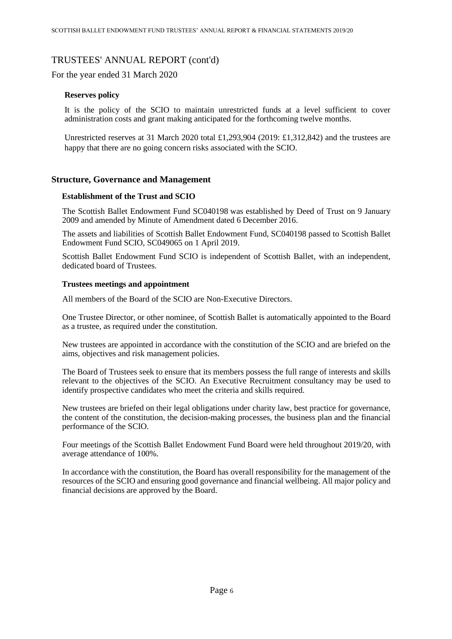For the year ended 31 March 2020

## **Reserves policy**

It is the policy of the SCIO to maintain unrestricted funds at a level sufficient to cover administration costs and grant making anticipated for the forthcoming twelve months.

Unrestricted reserves at 31 March 2020 total £1,293,904 (2019: £1,312,842) and the trustees are happy that there are no going concern risks associated with the SCIO.

## **Structure, Governance and Management**

## **Establishment of the Trust and SCIO**

The Scottish Ballet Endowment Fund [SC040198](https://www.oscr.org.uk/about-charities/search-the-register/charity-details?number=SC040198) was established by Deed of Trust on 9 January 2009 and amended by Minute of Amendment dated 6 December 2016.

The assets and liabilities of Scottish Ballet Endowment Fund, [SC040198](https://www.oscr.org.uk/about-charities/search-the-register/charity-details?number=SC040198) passed to Scottish Ballet Endowment Fund SCIO, [SC049065](https://www.oscr.org.uk/about-charities/search-the-register/charity-details?number=SC049065) on 1 April 2019.

Scottish Ballet Endowment Fund SCIO is independent of Scottish Ballet, with an independent, dedicated board of Trustees.

#### **Trustees meetings and appointment**

All members of the Board of the SCIO are Non-Executive Directors.

One Trustee Director, or other nominee, of Scottish Ballet is automatically appointed to the Board as a trustee, as required under the constitution.

New trustees are appointed in accordance with the constitution of the SCIO and are briefed on the aims, objectives and risk management policies.

The Board of Trustees seek to ensure that its members possess the full range of interests and skills relevant to the objectives of the SCIO. An Executive Recruitment consultancy may be used to identify prospective candidates who meet the criteria and skills required.

New trustees are briefed on their legal obligations under charity law, best practice for governance, the content of the constitution, the decision-making processes, the business plan and the financial performance of the SCIO.

Four meetings of the Scottish Ballet Endowment Fund Board were held throughout 2019/20, with average attendance of 100%.

In accordance with the constitution, the Board has overall responsibility for the management of the resources of the SCIO and ensuring good governance and financial wellbeing. All major policy and financial decisions are approved by the Board.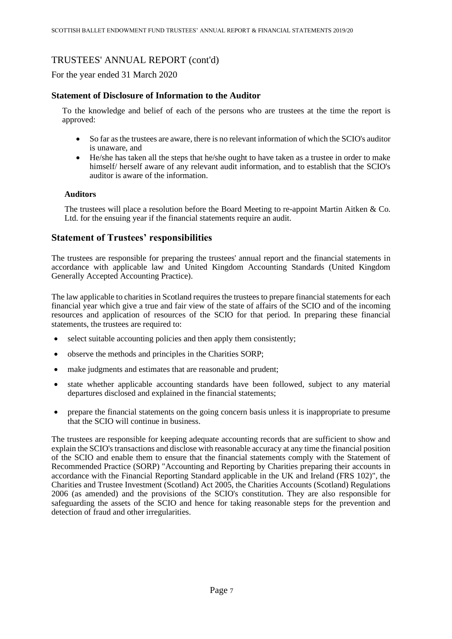For the year ended 31 March 2020

## **Statement of Disclosure of Information to the Auditor**

To the knowledge and belief of each of the persons who are trustees at the time the report is approved:

- So far as the trustees are aware, there is no relevant information of which the SCIO's auditor is unaware, and
- He/she has taken all the steps that he/she ought to have taken as a trustee in order to make himself/ herself aware of any relevant audit information, and to establish that the SCIO's auditor is aware of the information.

## **Auditors**

The trustees will place a resolution before the Board Meeting to re-appoint Martin Aitken & Co. Ltd. for the ensuing year if the financial statements require an audit.

## **Statement of Trustees' responsibilities**

The trustees are responsible for preparing the trustees' annual report and the financial statements in accordance with applicable law and United Kingdom Accounting Standards (United Kingdom Generally Accepted Accounting Practice).

The law applicable to charities in Scotland requires the trustees to prepare financial statements for each financial year which give a true and fair view of the state of affairs of the SCIO and of the incoming resources and application of resources of the SCIO for that period. In preparing these financial statements, the trustees are required to:

- select suitable accounting policies and then apply them consistently;
- observe the methods and principles in the Charities SORP;
- make judgments and estimates that are reasonable and prudent;
- state whether applicable accounting standards have been followed, subject to any material departures disclosed and explained in the financial statements;
- prepare the financial statements on the going concern basis unless it is inappropriate to presume that the SCIO will continue in business.

The trustees are responsible for keeping adequate accounting records that are sufficient to show and explain the SCIO's transactions and disclose with reasonable accuracy at any time the financial position of the SCIO and enable them to ensure that the financial statements comply with the Statement of Recommended Practice (SORP) "Accounting and Reporting by Charities preparing their accounts in accordance with the Financial Reporting Standard applicable in the UK and Ireland (FRS 102)", the Charities and Trustee Investment (Scotland) Act 2005, the Charities Accounts (Scotland) Regulations 2006 (as amended) and the provisions of the SCIO's constitution. They are also responsible for safeguarding the assets of the SCIO and hence for taking reasonable steps for the prevention and detection of fraud and other irregularities.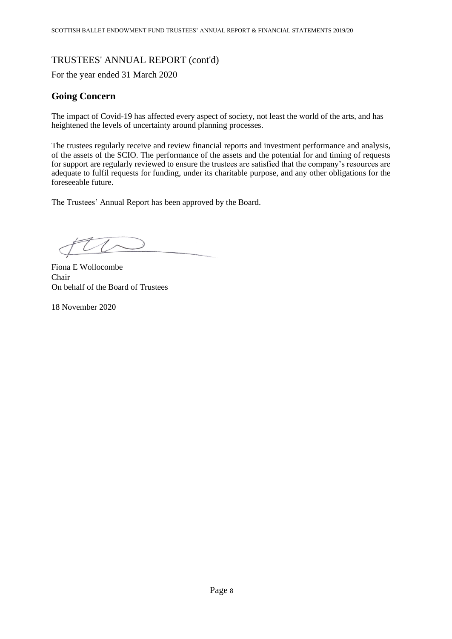For the year ended 31 March 2020

# **Going Concern**

The impact of Covid-19 has affected every aspect of society, not least the world of the arts, and has heightened the levels of uncertainty around planning processes.

The trustees regularly receive and review financial reports and investment performance and analysis, of the assets of the SCIO. The performance of the assets and the potential for and timing of requests for support are regularly reviewed to ensure the trustees are satisfied that the company's resources are adequate to fulfil requests for funding, under its charitable purpose, and any other obligations for the foreseeable future.

The Trustees' Annual Report has been approved by the Board.

Fiona E Wollocombe Chair On behalf of the Board of Trustees

18 November 2020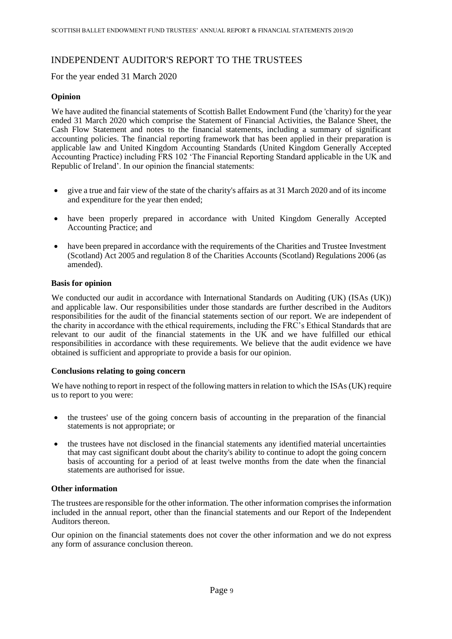# INDEPENDENT AUDITOR'S REPORT TO THE TRUSTEES

For the year ended 31 March 2020

## **Opinion**

We have audited the financial statements of Scottish Ballet Endowment Fund (the 'charity) for the year ended 31 March 2020 which comprise the Statement of Financial Activities, the Balance Sheet, the Cash Flow Statement and notes to the financial statements, including a summary of significant accounting policies. The financial reporting framework that has been applied in their preparation is applicable law and United Kingdom Accounting Standards (United Kingdom Generally Accepted Accounting Practice) including FRS 102 'The Financial Reporting Standard applicable in the UK and Republic of Ireland'. In our opinion the financial statements:

- give a true and fair view of the state of the charity's affairs as at 31 March 2020 and of its income and expenditure for the year then ended;
- have been properly prepared in accordance with United Kingdom Generally Accepted Accounting Practice; and
- have been prepared in accordance with the requirements of the Charities and Trustee Investment (Scotland) Act 2005 and regulation 8 of the Charities Accounts (Scotland) Regulations 2006 (as amended).

## **Basis for opinion**

We conducted our audit in accordance with International Standards on Auditing (UK) (ISAs (UK)) and applicable law. Our responsibilities under those standards are further described in the Auditors responsibilities for the audit of the financial statements section of our report. We are independent of the charity in accordance with the ethical requirements, including the FRC's Ethical Standards that are relevant to our audit of the financial statements in the UK and we have fulfilled our ethical responsibilities in accordance with these requirements. We believe that the audit evidence we have obtained is sufficient and appropriate to provide a basis for our opinion.

## **Conclusions relating to going concern**

We have nothing to report in respect of the following matters in relation to which the ISAs (UK) require us to report to you were:

- the trustees' use of the going concern basis of accounting in the preparation of the financial statements is not appropriate; or
- the trustees have not disclosed in the financial statements any identified material uncertainties that may cast significant doubt about the charity's ability to continue to adopt the going concern basis of accounting for a period of at least twelve months from the date when the financial statements are authorised for issue.

## **Other information**

The trustees are responsible for the other information. The other information comprises the information included in the annual report, other than the financial statements and our Report of the Independent Auditors thereon.

Our opinion on the financial statements does not cover the other information and we do not express any form of assurance conclusion thereon.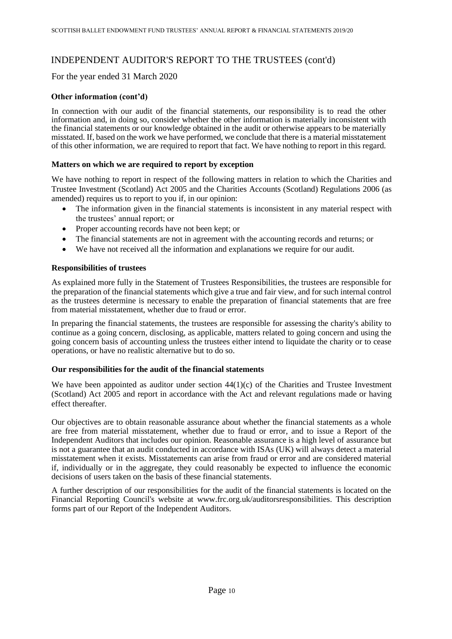# INDEPENDENT AUDITOR'S REPORT TO THE TRUSTEES (cont'd)

For the year ended 31 March 2020

## **Other information (cont'd)**

In connection with our audit of the financial statements, our responsibility is to read the other information and, in doing so, consider whether the other information is materially inconsistent with the financial statements or our knowledge obtained in the audit or otherwise appears to be materially misstated. If, based on the work we have performed, we conclude that there is a material misstatement of this other information, we are required to report that fact. We have nothing to report in this regard.

## **Matters on which we are required to report by exception**

We have nothing to report in respect of the following matters in relation to which the Charities and Trustee Investment (Scotland) Act 2005 and the Charities Accounts (Scotland) Regulations 2006 (as amended) requires us to report to you if, in our opinion:

- The information given in the financial statements is inconsistent in any material respect with the trustees' annual report; or
- Proper accounting records have not been kept; or
- The financial statements are not in agreement with the accounting records and returns; or
- We have not received all the information and explanations we require for our audit.

## **Responsibilities of trustees**

As explained more fully in the Statement of Trustees Responsibilities, the trustees are responsible for the preparation of the financial statements which give a true and fair view, and for such internal control as the trustees determine is necessary to enable the preparation of financial statements that are free from material misstatement, whether due to fraud or error.

In preparing the financial statements, the trustees are responsible for assessing the charity's ability to continue as a going concern, disclosing, as applicable, matters related to going concern and using the going concern basis of accounting unless the trustees either intend to liquidate the charity or to cease operations, or have no realistic alternative but to do so.

## **Our responsibilities for the audit of the financial statements**

We have been appointed as auditor under section  $44(1)(c)$  of the Charities and Trustee Investment (Scotland) Act 2005 and report in accordance with the Act and relevant regulations made or having effect thereafter.

Our objectives are to obtain reasonable assurance about whether the financial statements as a whole are free from material misstatement, whether due to fraud or error, and to issue a Report of the Independent Auditors that includes our opinion. Reasonable assurance is a high level of assurance but is not a guarantee that an audit conducted in accordance with ISAs (UK) will always detect a material misstatement when it exists. Misstatements can arise from fraud or error and are considered material if, individually or in the aggregate, they could reasonably be expected to influence the economic decisions of users taken on the basis of these financial statements.

A further description of our responsibilities for the audit of the financial statements is located on the Financial Reporting Council's website at www.frc.org.uk/auditorsresponsibilities. This description forms part of our Report of the Independent Auditors.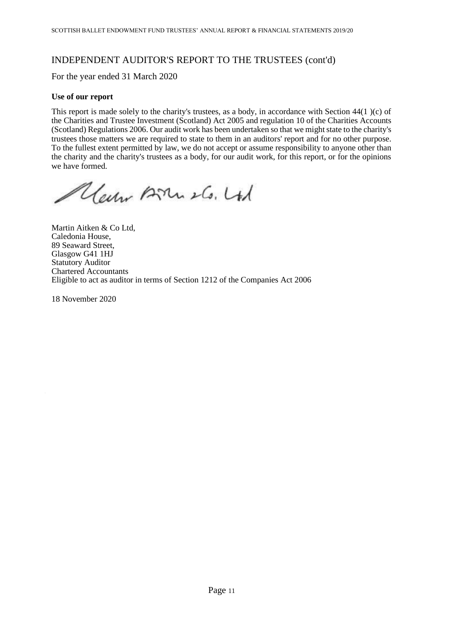# INDEPENDENT AUDITOR'S REPORT TO THE TRUSTEES (cont'd)

For the year ended 31 March 2020

## **Use of our report**

This report is made solely to the charity's trustees, as a body, in accordance with Section 44(1 )(c) of the Charities and Trustee Investment (Scotland) Act 2005 and regulation 10 of the Charities Accounts (Scotland) Regulations 2006. Our audit work has been undertaken so that we might state to the charity's trustees those matters we are required to state to them in an auditors' report and for no other purpose. To the fullest extent permitted by law, we do not accept or assume responsibility to anyone other than the charity and the charity's trustees as a body, for our audit work, for this report, or for the opinions we have formed.

Clear Born 26. Ltd

Martin Aitken & Co Ltd, Caledonia House, 89 Seaward Street, Glasgow G41 1HJ Statutory Auditor Chartered Accountants Eligible to act as auditor in terms of Section 1212 of the Companies Act 2006

18 November 2020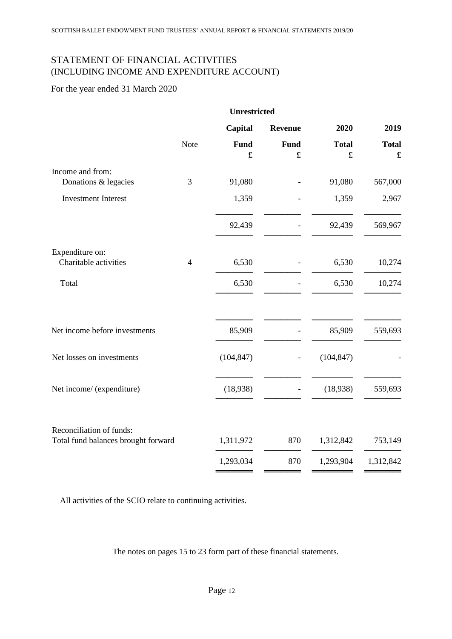# STATEMENT OF FINANCIAL ACTIVITIES (INCLUDING INCOME AND EXPENDITURE ACCOUNT)

# For the year ended 31 March 2020

|                                                                 | <b>Unrestricted</b> |                              |                |                                      |                                      |
|-----------------------------------------------------------------|---------------------|------------------------------|----------------|--------------------------------------|--------------------------------------|
|                                                                 |                     | Capital                      | <b>Revenue</b> | 2020                                 | 2019                                 |
|                                                                 | Note                | Fund<br>$\pmb{\mathfrak{L}}$ | <b>Fund</b>    | <b>Total</b><br>$\pmb{\mathfrak{L}}$ | <b>Total</b><br>$\pmb{\mathfrak{L}}$ |
| Income and from:                                                |                     |                              |                |                                      |                                      |
| Donations & legacies                                            | 3                   | 91,080                       |                | 91,080                               | 567,000                              |
| <b>Investment Interest</b>                                      |                     | 1,359                        |                | 1,359                                | 2,967                                |
|                                                                 |                     | 92,439                       |                | 92,439                               | 569,967                              |
| Expenditure on:                                                 |                     |                              |                |                                      |                                      |
| Charitable activities                                           | $\overline{4}$      | 6,530                        |                | 6,530                                | 10,274                               |
| Total                                                           |                     | 6,530                        |                | 6,530                                | 10,274                               |
| Net income before investments                                   |                     | 85,909                       |                | 85,909                               | 559,693                              |
|                                                                 |                     |                              |                |                                      |                                      |
| Net losses on investments                                       |                     | (104, 847)                   |                | (104, 847)                           |                                      |
| Net income/ (expenditure)                                       |                     | (18,938)                     |                | (18,938)                             | 559,693                              |
| Reconciliation of funds:<br>Total fund balances brought forward |                     | 1,311,972                    | 870            | 1,312,842                            | 753,149                              |
|                                                                 |                     |                              |                |                                      |                                      |
|                                                                 |                     | 1,293,034                    | 870            | 1,293,904                            | 1,312,842                            |
|                                                                 |                     |                              |                |                                      |                                      |

All activities of the SCIO relate to continuing activities.

The notes on pages 15 to 23 form part of these financial statements.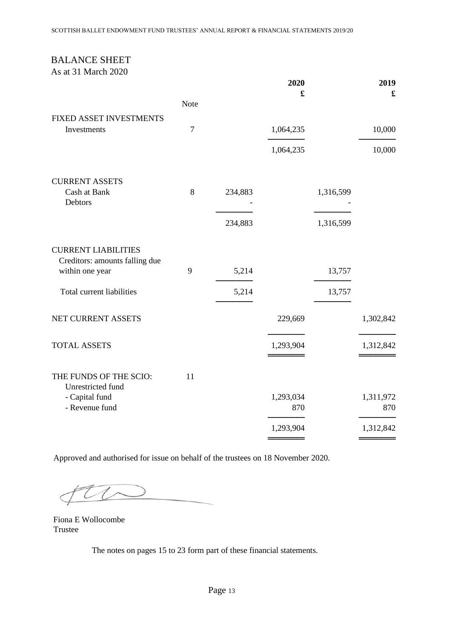# BALANCE SHEET

As at 31 March 2020

|                                                              |                |         | 2020             |           | 2019             |
|--------------------------------------------------------------|----------------|---------|------------------|-----------|------------------|
|                                                              | <b>Note</b>    |         | £                |           | £                |
| FIXED ASSET INVESTMENTS<br>Investments                       | $\overline{7}$ |         | 1,064,235        |           | 10,000           |
|                                                              |                |         |                  |           |                  |
|                                                              |                |         | 1,064,235        |           | 10,000           |
| <b>CURRENT ASSETS</b>                                        |                |         |                  |           |                  |
| Cash at Bank<br>Debtors                                      | 8              | 234,883 |                  | 1,316,599 |                  |
|                                                              |                | 234,883 |                  | 1,316,599 |                  |
| <b>CURRENT LIABILITIES</b><br>Creditors: amounts falling due |                |         |                  |           |                  |
| within one year                                              | 9              | 5,214   |                  | 13,757    |                  |
| Total current liabilities                                    |                | 5,214   |                  | 13,757    |                  |
| NET CURRENT ASSETS                                           |                |         | 229,669          |           | 1,302,842        |
| <b>TOTAL ASSETS</b>                                          |                |         | 1,293,904        |           | 1,312,842        |
| THE FUNDS OF THE SCIO:<br>Unrestricted fund                  | 11             |         |                  |           |                  |
| - Capital fund<br>- Revenue fund                             |                |         | 1,293,034<br>870 |           | 1,311,972<br>870 |
|                                                              |                |         | 1,293,904        |           | 1,312,842        |
|                                                              |                |         |                  |           |                  |

Approved and authorised for issue on behalf of the trustees on 18 November 2020.

Fiona E Wollocombe Trustee

The notes on pages 15 to 23 form part of these financial statements.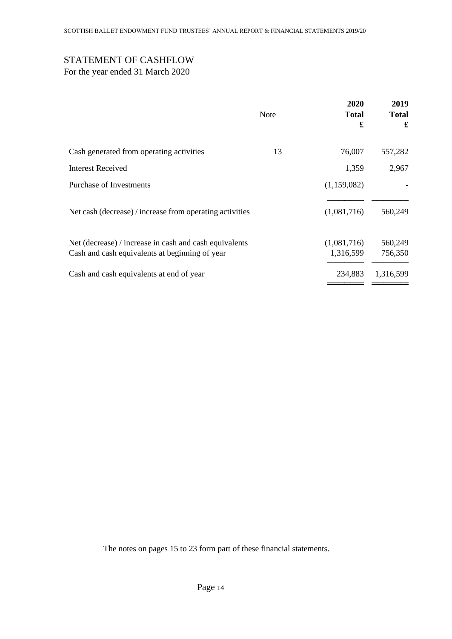# STATEMENT OF CASHFLOW

For the year ended 31 March 2020

|                                                                                                          | <b>Note</b> | 2020<br><b>Total</b><br>£ | 2019<br><b>Total</b><br>£ |
|----------------------------------------------------------------------------------------------------------|-------------|---------------------------|---------------------------|
| Cash generated from operating activities                                                                 | 13          | 76,007                    | 557,282                   |
| <b>Interest Received</b>                                                                                 |             | 1,359                     | 2,967                     |
| Purchase of Investments                                                                                  |             | (1,159,082)               |                           |
| Net cash (decrease) / increase from operating activities                                                 |             | (1,081,716)               | 560,249                   |
| Net (decrease) / increase in cash and cash equivalents<br>Cash and cash equivalents at beginning of year |             | (1,081,716)<br>1,316,599  | 560,249<br>756,350        |
| Cash and cash equivalents at end of year                                                                 |             | 234,883                   | 1,316,599                 |

The notes on pages 15 to 23 form part of these financial statements.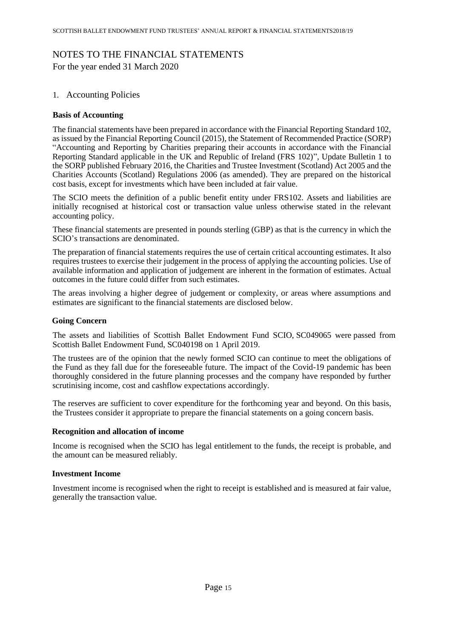# NOTES TO THE FINANCIAL STATEMENTS

For the year ended 31 March 2020

## 1. Accounting Policies

## **Basis of Accounting**

The financial statements have been prepared in accordance with the Financial Reporting Standard 102, as issued by the Financial Reporting Council (2015), the Statement of Recommended Practice (SORP) "Accounting and Reporting by Charities preparing their accounts in accordance with the Financial Reporting Standard applicable in the UK and Republic of Ireland (FRS 102)", Update Bulletin 1 to the SORP published February 2016, the Charities and Trustee Investment (Scotland) Act 2005 and the Charities Accounts (Scotland) Regulations 2006 (as amended). They are prepared on the historical cost basis, except for investments which have been included at fair value.

The SCIO meets the definition of a public benefit entity under FRS102. Assets and liabilities are initially recognised at historical cost or transaction value unless otherwise stated in the relevant accounting policy.

These financial statements are presented in pounds sterling (GBP) as that is the currency in which the SCIO's transactions are denominated.

The preparation of financial statements requires the use of certain critical accounting estimates. It also requires trustees to exercise their judgement in the process of applying the accounting policies. Use of available information and application of judgement are inherent in the formation of estimates. Actual outcomes in the future could differ from such estimates.

The areas involving a higher degree of judgement or complexity, or areas where assumptions and estimates are significant to the financial statements are disclosed below.

## **Going Concern**

The assets and liabilities of Scottish Ballet Endowment Fund SCIO, [SC049065](https://www.oscr.org.uk/about-charities/search-the-register/charity-details?number=SC049065) were passed from Scottish Ballet Endowment Fund, [SC040198](https://www.oscr.org.uk/about-charities/search-the-register/charity-details?number=SC040198) on 1 April 2019.

The trustees are of the opinion that the newly formed SCIO can continue to meet the obligations of the Fund as they fall due for the foreseeable future. The impact of the Covid-19 pandemic has been thoroughly considered in the future planning processes and the company have responded by further scrutinising income, cost and cashflow expectations accordingly.

The reserves are sufficient to cover expenditure for the forthcoming year and beyond. On this basis, the Trustees consider it appropriate to prepare the financial statements on a going concern basis.

#### **Recognition and allocation of income**

Income is recognised when the SCIO has legal entitlement to the funds, the receipt is probable, and the amount can be measured reliably.

## **Investment Income**

Investment income is recognised when the right to receipt is established and is measured at fair value, generally the transaction value.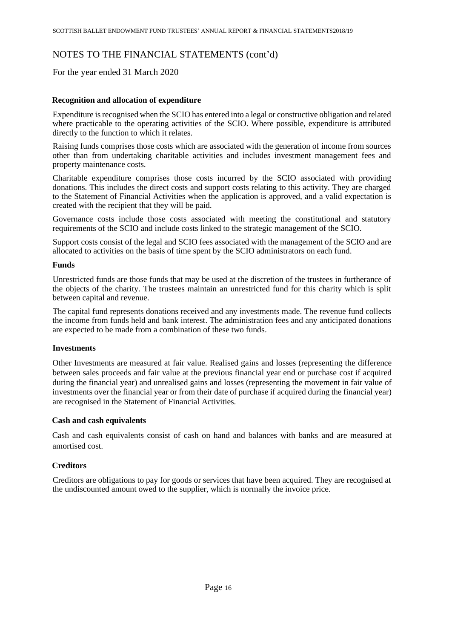For the year ended 31 March 2020

## **Recognition and allocation of expenditure**

Expenditure is recognised when the SCIO has entered into a legal or constructive obligation and related where practicable to the operating activities of the SCIO. Where possible, expenditure is attributed directly to the function to which it relates.

Raising funds comprises those costs which are associated with the generation of income from sources other than from undertaking charitable activities and includes investment management fees and property maintenance costs.

Charitable expenditure comprises those costs incurred by the SCIO associated with providing donations. This includes the direct costs and support costs relating to this activity. They are charged to the Statement of Financial Activities when the application is approved, and a valid expectation is created with the recipient that they will be paid.

Governance costs include those costs associated with meeting the constitutional and statutory requirements of the SCIO and include costs linked to the strategic management of the SCIO.

Support costs consist of the legal and SCIO fees associated with the management of the SCIO and are allocated to activities on the basis of time spent by the SCIO administrators on each fund.

#### **Funds**

Unrestricted funds are those funds that may be used at the discretion of the trustees in furtherance of the objects of the charity. The trustees maintain an unrestricted fund for this charity which is split between capital and revenue.

The capital fund represents donations received and any investments made. The revenue fund collects the income from funds held and bank interest. The administration fees and any anticipated donations are expected to be made from a combination of these two funds.

## **Investments**

Other Investments are measured at fair value. Realised gains and losses (representing the difference between sales proceeds and fair value at the previous financial year end or purchase cost if acquired during the financial year) and unrealised gains and losses (representing the movement in fair value of investments over the financial year or from their date of purchase if acquired during the financial year) are recognised in the Statement of Financial Activities.

## **Cash and cash equivalents**

Cash and cash equivalents consist of cash on hand and balances with banks and are measured at amortised cost.

## **Creditors**

Creditors are obligations to pay for goods or services that have been acquired. They are recognised at the undiscounted amount owed to the supplier, which is normally the invoice price.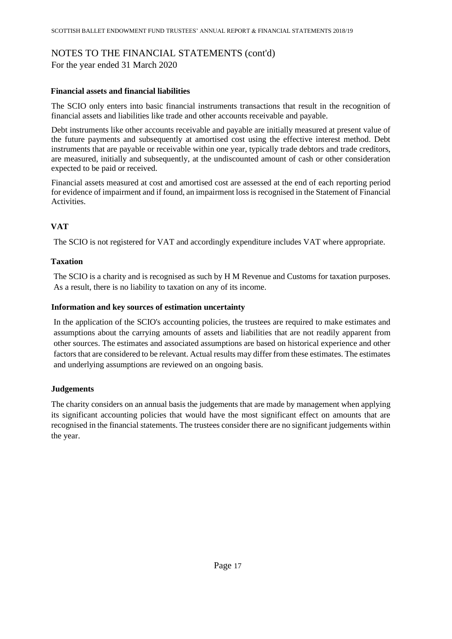For the year ended 31 March 2020

## **Financial assets and financial liabilities**

The SCIO only enters into basic financial instruments transactions that result in the recognition of financial assets and liabilities like trade and other accounts receivable and payable.

Debt instruments like other accounts receivable and payable are initially measured at present value of the future payments and subsequently at amortised cost using the effective interest method. Debt instruments that are payable or receivable within one year, typically trade debtors and trade creditors, are measured, initially and subsequently, at the undiscounted amount of cash or other consideration expected to be paid or received.

Financial assets measured at cost and amortised cost are assessed at the end of each reporting period for evidence of impairment and if found, an impairment loss is recognised in the Statement of Financial Activities.

# **VAT**

The SCIO is not registered for VAT and accordingly expenditure includes VAT where appropriate.

## **Taxation**

The SCIO is a charity and is recognised as such by H M Revenue and Customs for taxation purposes. As a result, there is no liability to taxation on any of its income.

## **Information and key sources of estimation uncertainty**

In the application of the SCIO's accounting policies, the trustees are required to make estimates and assumptions about the carrying amounts of assets and liabilities that are not readily apparent from other sources. The estimates and associated assumptions are based on historical experience and other factors that are considered to be relevant. Actual results may differ from these estimates. The estimates and underlying assumptions are reviewed on an ongoing basis.

## **Judgements**

The charity considers on an annual basis the judgements that are made by management when applying its significant accounting policies that would have the most significant effect on amounts that are recognised in the financial statements. The trustees consider there are no significant judgements within the year.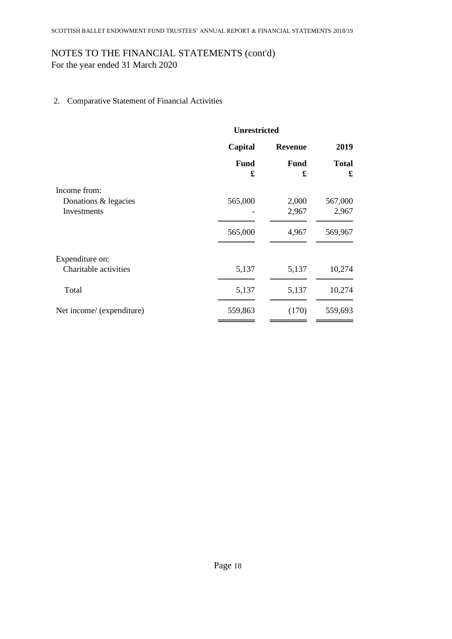For the year ended 31 March 2020

2. Comparative Statement of Financial Activities

|                           | <b>Unrestricted</b> |                  |                   |  |
|---------------------------|---------------------|------------------|-------------------|--|
|                           | Capital             | <b>Revenue</b>   |                   |  |
|                           | <b>Fund</b><br>£    | <b>Fund</b><br>£ | <b>Total</b><br>£ |  |
| Income from:              |                     |                  |                   |  |
| Donations & legacies      | 565,000             | 2,000            | 567,000           |  |
| Investments               |                     | 2,967            | 2,967             |  |
|                           | 565,000             | 4,967            | 569,967           |  |
| Expenditure on:           |                     |                  |                   |  |
| Charitable activities     | 5,137               | 5,137            | 10,274            |  |
| Total                     | 5,137               | 5,137            | 10,274            |  |
| Net income/ (expenditure) | 559,863             | (170)            | 559,693           |  |
|                           |                     |                  |                   |  |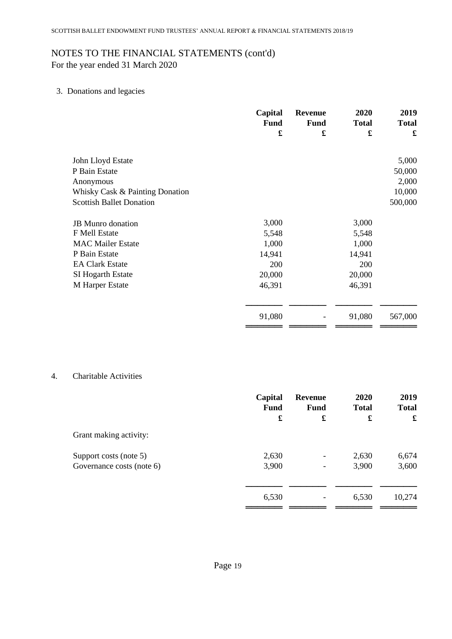For the year ended 31 March 2020

# 3. Donations and legacies

|                                 | Capital     | <b>Revenue</b> | 2020         | 2019         |
|---------------------------------|-------------|----------------|--------------|--------------|
|                                 | <b>Fund</b> | <b>Fund</b>    | <b>Total</b> | <b>Total</b> |
|                                 | £           | £              | £            | £            |
| John Lloyd Estate               |             |                |              | 5,000        |
| P Bain Estate                   |             |                |              | 50,000       |
| Anonymous                       |             |                |              | 2,000        |
| Whisky Cask & Painting Donation |             |                |              | 10,000       |
| <b>Scottish Ballet Donation</b> |             |                |              | 500,000      |
| <b>JB</b> Munro donation        | 3,000       |                | 3,000        |              |
| F Mell Estate                   | 5,548       |                | 5,548        |              |
| <b>MAC Mailer Estate</b>        | 1,000       |                | 1,000        |              |
| P Bain Estate                   | 14,941      |                | 14,941       |              |
| <b>EA Clark Estate</b>          | 200         |                | 200          |              |
| SI Hogarth Estate               | 20,000      |                | 20,000       |              |
| M Harper Estate                 | 46,391      |                | 46,391       |              |
|                                 | 91,080      |                | 91,080       | 567,000      |
|                                 |             |                |              |              |

## 4. Charitable Activities

|                           | Capital     | <b>Revenue</b>           | 2020         | 2019         |
|---------------------------|-------------|--------------------------|--------------|--------------|
|                           | <b>Fund</b> | <b>Fund</b>              | <b>Total</b> | <b>Total</b> |
|                           | £           | £                        | £            | £            |
| Grant making activity:    |             |                          |              |              |
| Support costs (note 5)    | 2,630       | $\overline{\phantom{a}}$ | 2,630        | 6,674        |
| Governance costs (note 6) | 3,900       |                          | 3,900        | 3,600        |
|                           | 6,530       |                          | 6,530        | 10,274       |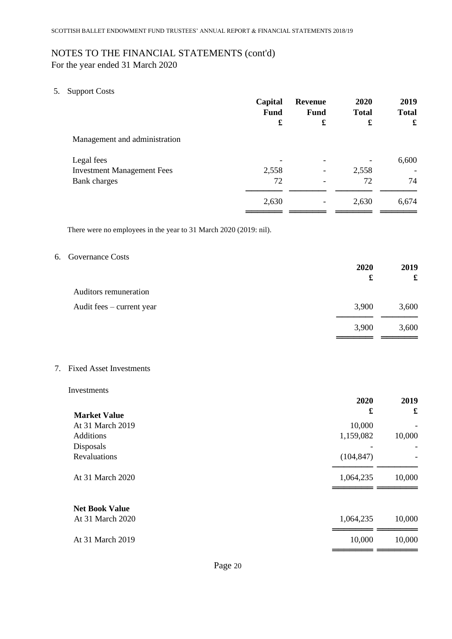For the year ended 31 March 2020

5. Support Costs

|                                   | Capital<br><b>Fund</b> | <b>Revenue</b><br><b>Fund</b> | 2020<br><b>Total</b> | 2019<br><b>Total</b> |
|-----------------------------------|------------------------|-------------------------------|----------------------|----------------------|
|                                   | £                      | £                             | £                    | £                    |
| Management and administration     |                        |                               |                      |                      |
| Legal fees                        |                        |                               |                      | 6,600                |
| <b>Investment Management Fees</b> | 2,558                  | -                             | 2,558                |                      |
| Bank charges                      | 72                     |                               | 72                   | 74                   |
|                                   | 2,630                  |                               | 2,630                | 6,674                |

There were no employees in the year to 31 March 2020 (2019: nil).

## 6. Governance Costs

| 2020<br>£ | 2019<br>£ |
|-----------|-----------|
|           |           |
| 3,900     | 3,600     |
| 3,900     | 3,600     |
|           |           |

7. Fixed Asset Investments

#### Investments

|                       | 2020       | 2019   |
|-----------------------|------------|--------|
| <b>Market Value</b>   | £          | £      |
| At 31 March 2019      | 10,000     |        |
| <b>Additions</b>      | 1,159,082  | 10,000 |
| Disposals             |            |        |
| Revaluations          | (104, 847) |        |
| At 31 March 2020      | 1,064,235  | 10,000 |
| <b>Net Book Value</b> |            |        |
| At 31 March 2020      | 1,064,235  | 10,000 |
| At 31 March 2019      | 10,000     | 10,000 |
|                       |            |        |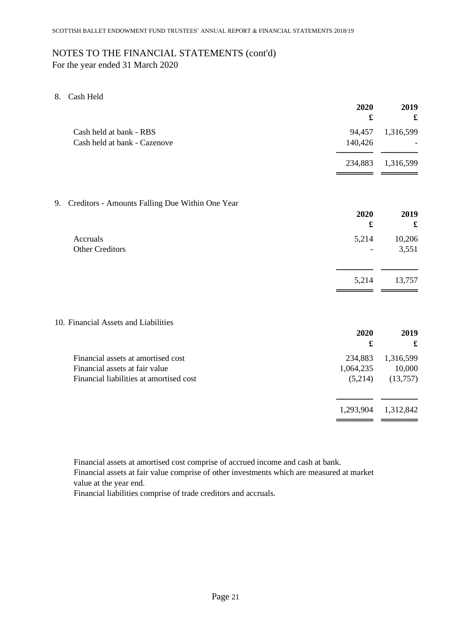For the year ended 31 March 2020

8. Cash Held

| £                                                                                                                                                  | £                               |
|----------------------------------------------------------------------------------------------------------------------------------------------------|---------------------------------|
| Cash held at bank - RBS<br>94,457<br>Cash held at bank - Cazenove<br>140,426                                                                       | 1,316,599                       |
| 234,883                                                                                                                                            | 1,316,599                       |
| Creditors - Amounts Falling Due Within One Year<br>9.                                                                                              |                                 |
| 2020<br>£                                                                                                                                          | 2019<br>$\pmb{\mathfrak{L}}$    |
| Accruals<br>5,214<br><b>Other Creditors</b>                                                                                                        | 10,206<br>3,551                 |
| 5,214                                                                                                                                              | 13,757                          |
| 10. Financial Assets and Liabilities                                                                                                               |                                 |
| 2020<br>£                                                                                                                                          | 2019<br>$\pmb{\mathfrak{L}}$    |
| Financial assets at amortised cost<br>234,883<br>Financial assets at fair value<br>1,064,235<br>Financial liabilities at amortised cost<br>(5,214) | 1,316,599<br>10,000<br>(13,757) |
| 1,293,904                                                                                                                                          | 1,312,842                       |

Financial assets at amortised cost comprise of accrued income and cash at bank.

Financial assets at fair value comprise of other investments which are measured at market value at the year end.

Financial liabilities comprise of trade creditors and accruals.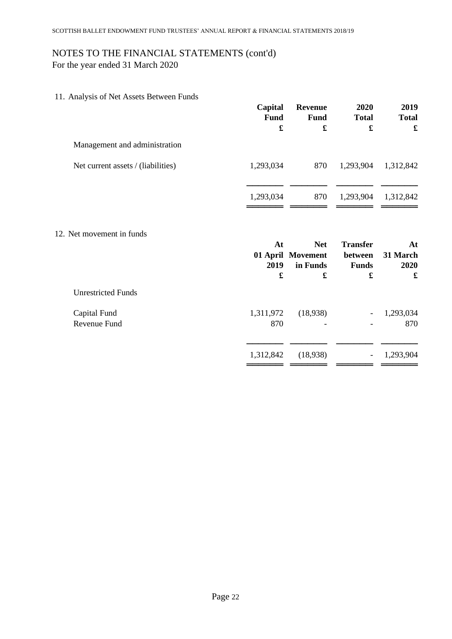For the year ended 31 March 2020

11. Analysis of Net Assets Between Funds

| <b>Fund</b>      | <b>Revenue</b><br>Fund<br>£ | <b>Total</b>                    | 2019<br><b>Total</b><br>$\pmb{\mathfrak{L}}$ |
|------------------|-----------------------------|---------------------------------|----------------------------------------------|
|                  |                             |                                 |                                              |
| 1,293,034        | 870                         | 1,293,904                       | 1,312,842                                    |
| 1,293,034        | 870                         | 1,293,904                       | 1,312,842                                    |
|                  |                             |                                 | At                                           |
| 2019             | in Funds                    | between<br><b>Funds</b>         | 31 March<br>2020                             |
| £                | £                           | £                               | £                                            |
|                  |                             |                                 |                                              |
|                  |                             |                                 |                                              |
| 1,311,972<br>870 | (18,938)                    | $\overline{\phantom{a}}$        | 1,293,034<br>870                             |
|                  | Capital<br>At               | <b>Net</b><br>01 April Movement | 2020<br><b>Transfer</b>                      |